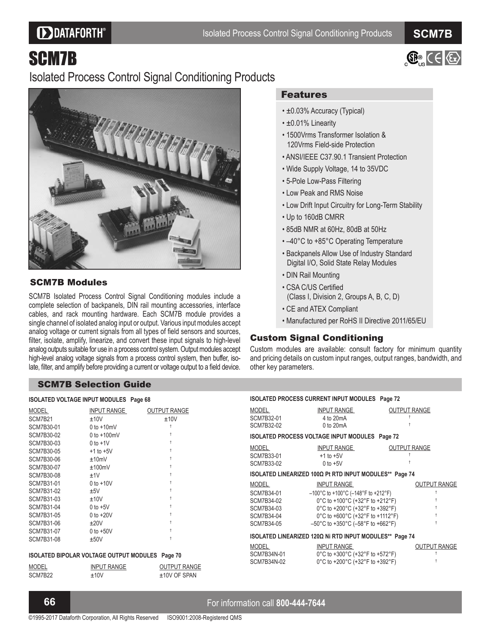# **DDATAFORTH®**

**SCM7B** 

 $\bigoplus_{k=1}^{\infty} C \in \{ \mathbb{C} \}$ 

# SCM7B

# Isolated Process Control Signal Conditioning Products



## SCM7B Modules

SCM7B Isolated Process Control Signal Conditioning modules include a complete selection of backpanels, DIN rail mounting accessories, interface cables, and rack mounting hardware. Each SCM7B module provides a single channel of isolated analog input or output. Various input modules accept analog voltage or current signals from all types of field sensors and sources, filter, isolate, amplify, linearize, and convert these input signals to high-level analog outputs suitable for use in a process control system. Output modules accept high-level analog voltage signals from a process control system, then buffer, isolate, filter, and amplify before providing a current or voltage output to a field device.

# Features

- ±0.03% Accuracy (Typical)
- ±0.01% Linearity
- 1500Vrms Transformer Isolation & 120Vrms Field-side Protection
- ANSI/IEEE C37.90.1 Transient Protection
- Wide Supply Voltage, 14 to 35VDC
- 5-Pole Low-Pass Filtering
- Low Peak and RMS Noise
- Low Drift Input Circuitry for Long-Term Stability
- Up to 160dB CMRR
- 85dB NMR at 60Hz, 80dB at 50Hz
- -40°C to +85°C Operating Temperature
- Backpanels Allow Use of Industry Standard Digital I/O, Solid State Relay Modules
- DIN Rail Mounting
- CSA C/US Certified (Class I, Division 2, Groups A, B, C, D)
- CE and ATEX Compliant
- Manufactured per RoHS II Directive 2011/65/EU

### Custom Signal Conditioning

Custom modules are available: consult factory for minimum quantity and pricing details on custom input ranges, output ranges, bandwidth, and other key parameters.

#### SCM7B Selection Guide

#### **ISOLATED VOLTAGE INPUT MODULES Page 68**

| INPUT RANGE     | <b>OUTPUT RANGE</b><br>±10V |
|-----------------|-----------------------------|
| $0$ to $+10$ mV |                             |
| 0 to $+100$ mV  |                             |
| $0$ to $+1$ V   |                             |
| $+1$ to $+5V$   |                             |
| ±10mV           |                             |
| ±100mV          | Ť                           |
| ±1V             |                             |
| $0$ to $+10V$   | Ť                           |
| ±5V             | t                           |
| ±10V            | Ť                           |
| $0$ to $+5V$    |                             |
| $0$ to $+20V$   | t                           |
| ±20V            | t                           |
| $0$ to $+50V$   |                             |
| ±50V            |                             |
|                 | ±10V                        |

#### **ISOLATED BIPOLAR VOLTAGE OUTPUT MODULES Page 70**

| MODEL   | <b>INPUT RANGE</b> | <b>OUTPUT RANGE</b> |
|---------|--------------------|---------------------|
| SCM7B22 | $+10V$             | $±10V$ OF SPAN      |

| <b>ISOLATED PROCESS CURRENT INPUT MODULES Page 72</b>                              |                                                                                                                                                                                                                                                                                                |                     |  |
|------------------------------------------------------------------------------------|------------------------------------------------------------------------------------------------------------------------------------------------------------------------------------------------------------------------------------------------------------------------------------------------|---------------------|--|
| MODEL<br>SCM7B32-01<br>SCM7B32-02                                                  | INPUT RANGE<br>4 to 20mA<br>$0$ to $20mA$                                                                                                                                                                                                                                                      | <b>OUTPUT RANGE</b> |  |
|                                                                                    | ISOLATED PROCESS VOLTAGE INPUT MODULES Page 72                                                                                                                                                                                                                                                 |                     |  |
| MODEL<br>SCM7B33-01<br>SCM7B33-02                                                  | INPUT RANGE<br>$+1$ to $+5V$<br>$0$ to $+5V$                                                                                                                                                                                                                                                   | <b>OUTPUT RANGE</b> |  |
| ISOLATED LINEARIZED 100Ω Pt RTD INPUT MODULES** Page 74                            |                                                                                                                                                                                                                                                                                                |                     |  |
| <b>MODEL</b><br>SCM7B34-01<br>SCM7B34-02<br>SCM7B34-03<br>SCM7B34-04<br>SCM7B34-05 | <b>INPUT RANGE</b><br>$-100^{\circ}$ C to +100 $^{\circ}$ C (-148 $^{\circ}$ F to +212 $^{\circ}$ F)<br>0°C to +100°C (+32°F to +212°F)<br>0°C to +200°C (+32°F to +392°F)<br>0°C to +600°C (+32°F to +1112°F)<br>$-50^{\circ}$ C to +350 $^{\circ}$ C ( $-58^{\circ}$ F to +662 $^{\circ}$ F) | <b>OUTPUT RANGE</b> |  |
| ISOLATED LINEARIZED 120Ω Ni RTD INPUT MODULES** Page 74                            |                                                                                                                                                                                                                                                                                                |                     |  |
| MODEL<br>SCM7B34N-01<br>SCM7B34N-02                                                | INPUT RANGE<br>0°C to +300°C (+32°F to +572°F)<br>0°C to +200°C (+32°F to +392°F)                                                                                                                                                                                                              | <b>OUTPUT RANGE</b> |  |